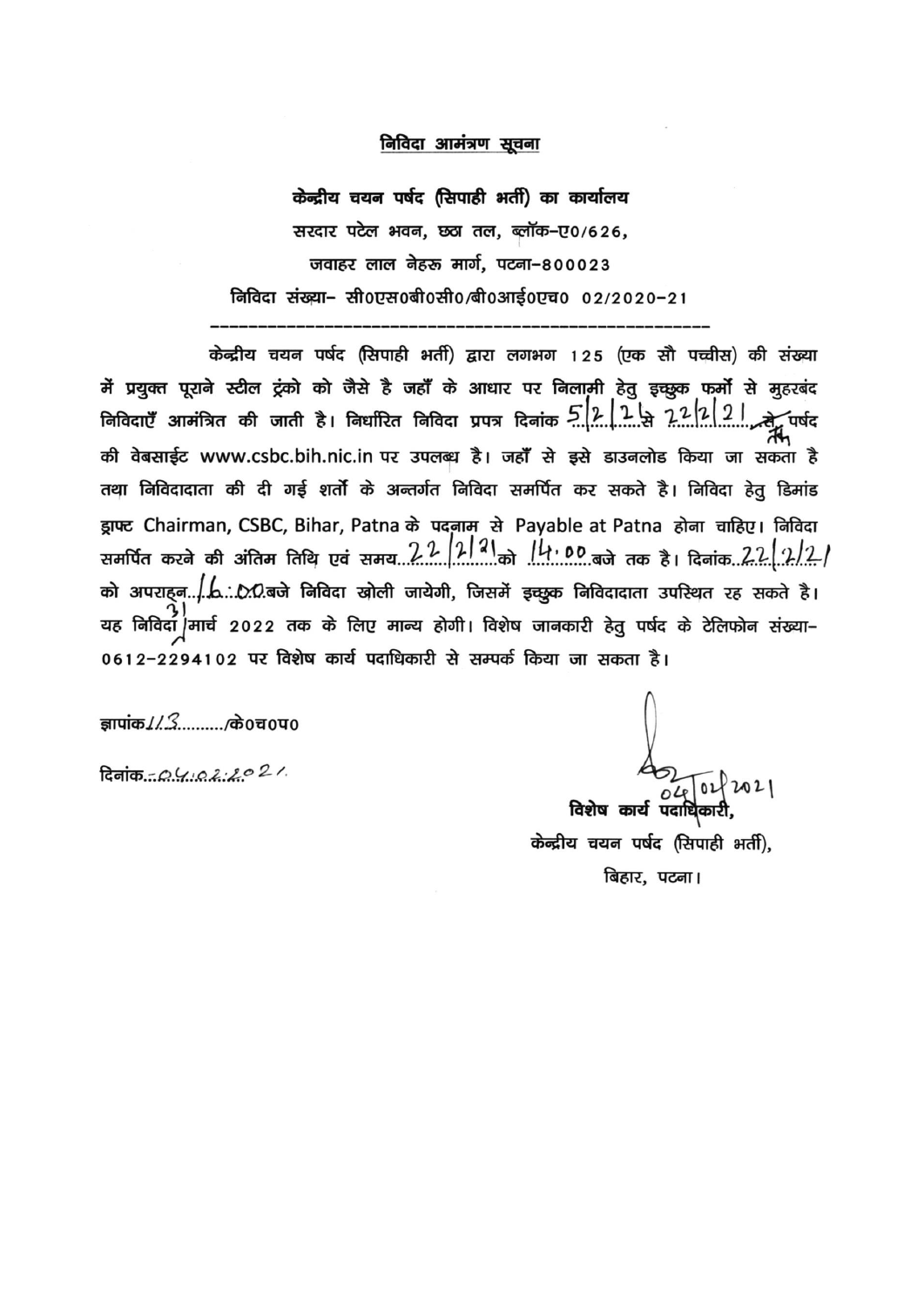#### निविदा आमंत्रण सूचना

केन्द्रीय चयन पर्षद (सिपाही भर्ती) का कार्यालय सरदार पटेल भवन, छठा तल, ब्लॉक-ए०/626, जवाहर लाल नेहरू मार्ग, पटना-800023 निविदा संख्या- सी0एस0बी0सी0/बी0आई0एच0 02/2020-21

केन्द्रीय चयन पर्षद (सिपाही भर्ती) द्वारा लगभग 125 (एक सौ पच्चीस) की संख्या .<br>मैं प्रयुक्त पूराने स्टील ट्रंको को जैसे है जहाँ के आधार पर निलामी हेतु इच्छुक फर्मो से मुहरबंद म प्रचुक्त पूचन च्यांचा प्रभा मा मा पा पा पाने<br>निविदाएँ आमंत्रित की जाती है। निर्धारित निविदा प्रपत्र दिनांक प्री. 1. में 72/2/2/2. में पर्षद की वेबसाईट www.csbc.bih.nic.in पर उपलब्ध है। जहाँ से इसे डाउनलोड किया जा सकता है तथा निविदादाता की दी गई शर्तो के अन्तर्गत निविदा समर्पित कर सकते है। निविदा हेतू डिमांड ड्राफ्ट Chairman, CSBC, Bihar, Patna के पदनाम से Payable at Patna होना चाहिए। निविदा यह निविदा/मार्च 2022 तक के लिए मान्य होगी। विशेष जानकारी हेतु पर्षद के टेलिफोन संख्या– 0612-2294102 पर विशेष कार्य पदाधिकारी से सम्पर्क किया जा सकता है।

ज्ञापांक / / 3......... के0च0प0

 $R$ नांक - 04022021

विशेष कार्य पदाधि

केन्द्रीय चयन पर्षद (सिपाही भर्ती). बिहार, पटना।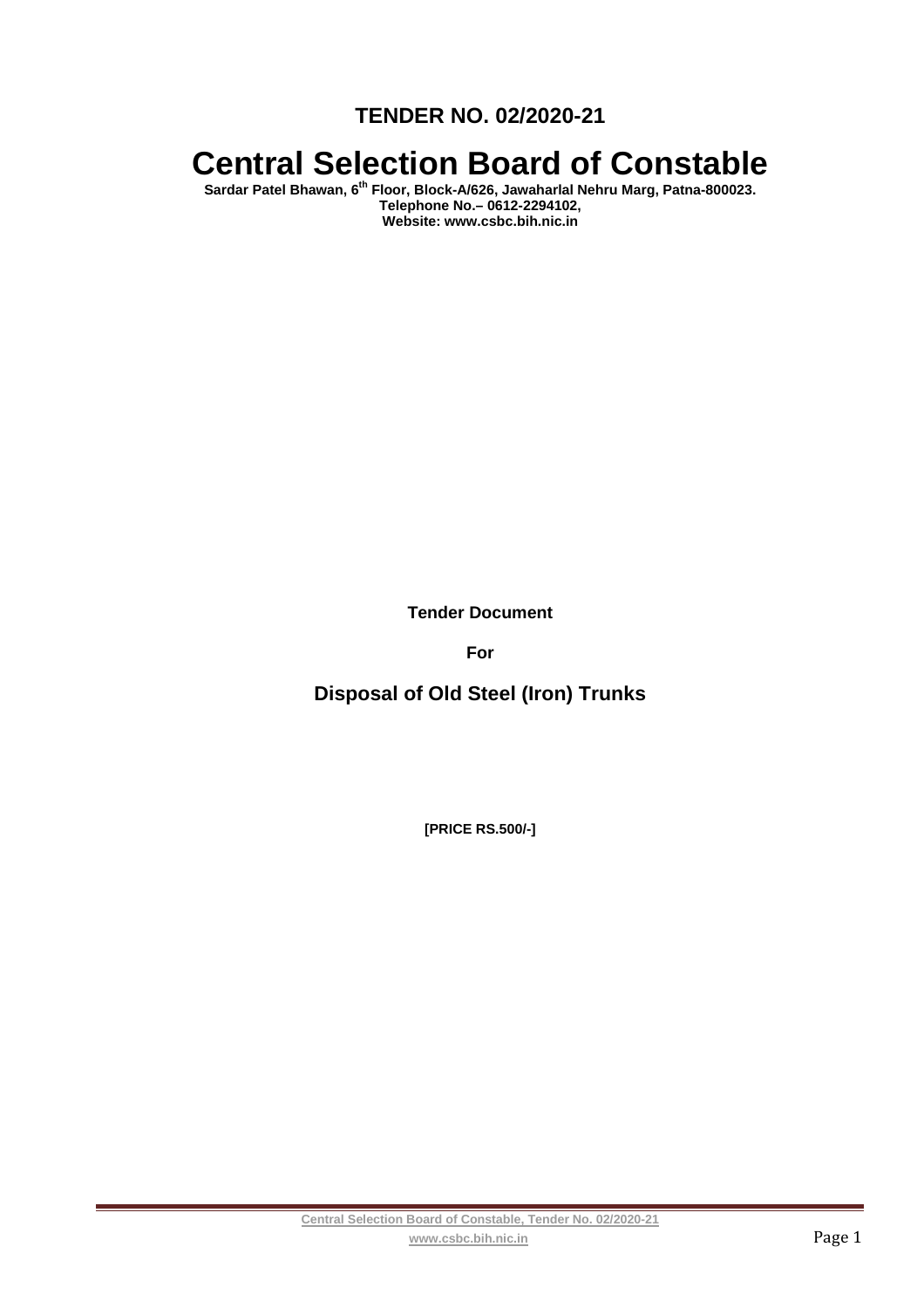**TENDER NO. 02/2020-21** 

# **Central Selection Board of Constable**

**Sardar Patel Bhawan, 6th Floor, Block-A/626, Jawaharlal Nehru Marg, Patna-800023. Telephone No.– 0612-2294102, Website: www.csbc.bih.nic.in** 

**Tender Document** 

**For** 

**Disposal of Old Steel (Iron) Trunks** 

**[PRICE RS.500/-]**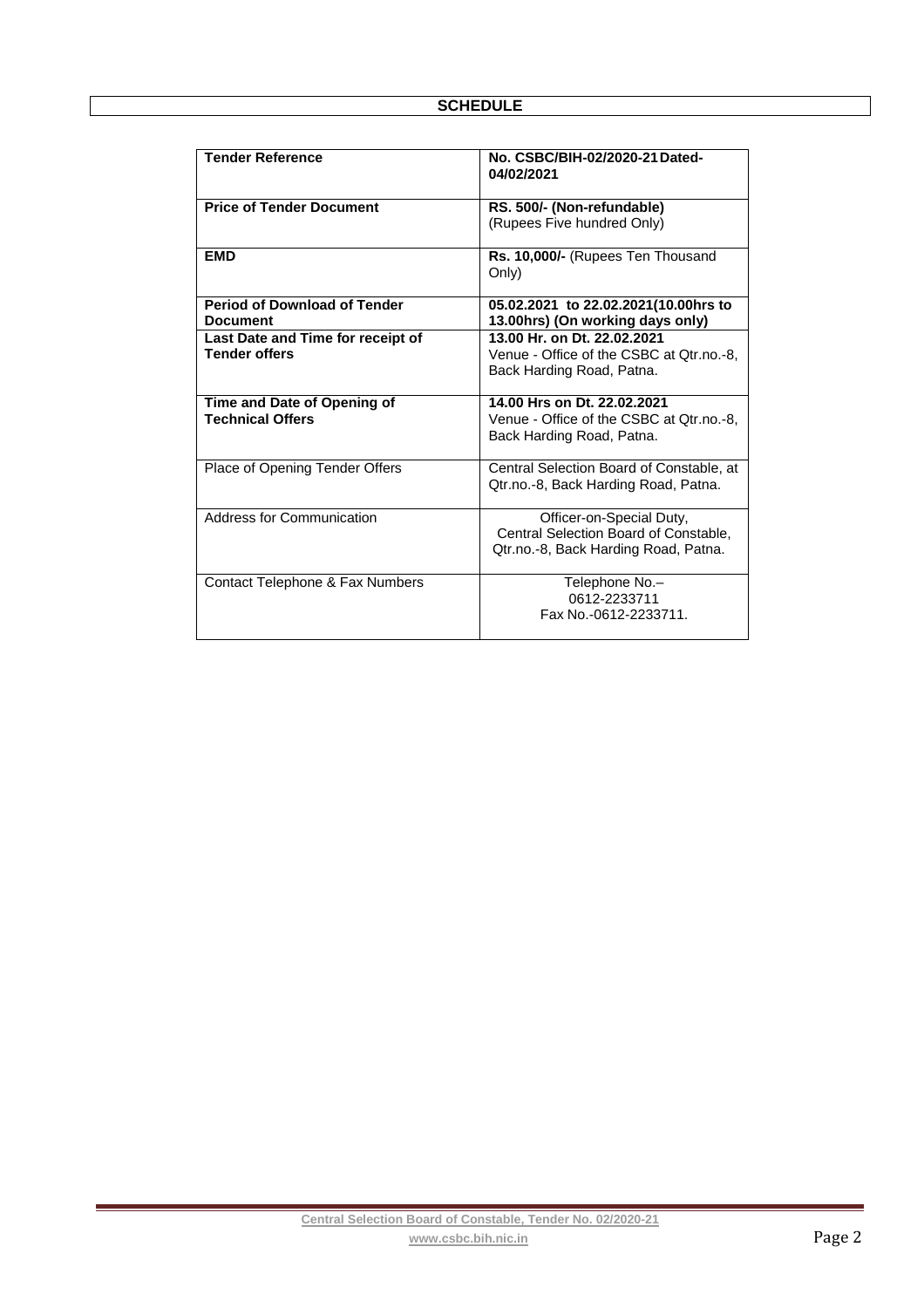| <b>Tender Reference</b>             | No. CSBC/BIH-02/2020-21 Dated-<br>04/02/2021 |  |
|-------------------------------------|----------------------------------------------|--|
| <b>Price of Tender Document</b>     | RS. 500/- (Non-refundable)                   |  |
|                                     | (Rupees Five hundred Only)                   |  |
| <b>EMD</b>                          | Rs. 10,000/- (Rupees Ten Thousand<br>Only)   |  |
| <b>Period of Download of Tender</b> | 05.02.2021 to 22.02.2021(10.00hrs to         |  |
| <b>Document</b>                     | 13.00hrs) (On working days only)             |  |
| Last Date and Time for receipt of   | 13.00 Hr. on Dt. 22.02.2021                  |  |
| <b>Tender offers</b>                | Venue - Office of the CSBC at Qtr.no.-8,     |  |
|                                     | Back Harding Road, Patna.                    |  |
|                                     |                                              |  |
| Time and Date of Opening of         | 14.00 Hrs on Dt. 22.02.2021                  |  |
| <b>Technical Offers</b>             | Venue - Office of the CSBC at Qtr.no.-8,     |  |
|                                     | Back Harding Road, Patna.                    |  |
|                                     |                                              |  |
|                                     |                                              |  |
| Place of Opening Tender Offers      | Central Selection Board of Constable, at     |  |
|                                     | Qtr.no.-8, Back Harding Road, Patna.         |  |
|                                     |                                              |  |
| Address for Communication           | Officer-on-Special Duty,                     |  |
|                                     | Central Selection Board of Constable,        |  |
|                                     | Qtr.no.-8, Back Harding Road, Patna.         |  |
|                                     |                                              |  |
| Contact Telephone & Fax Numbers     | Telephone No.-                               |  |
|                                     | 0612-2233711                                 |  |
|                                     | Fax No.-0612-2233711.                        |  |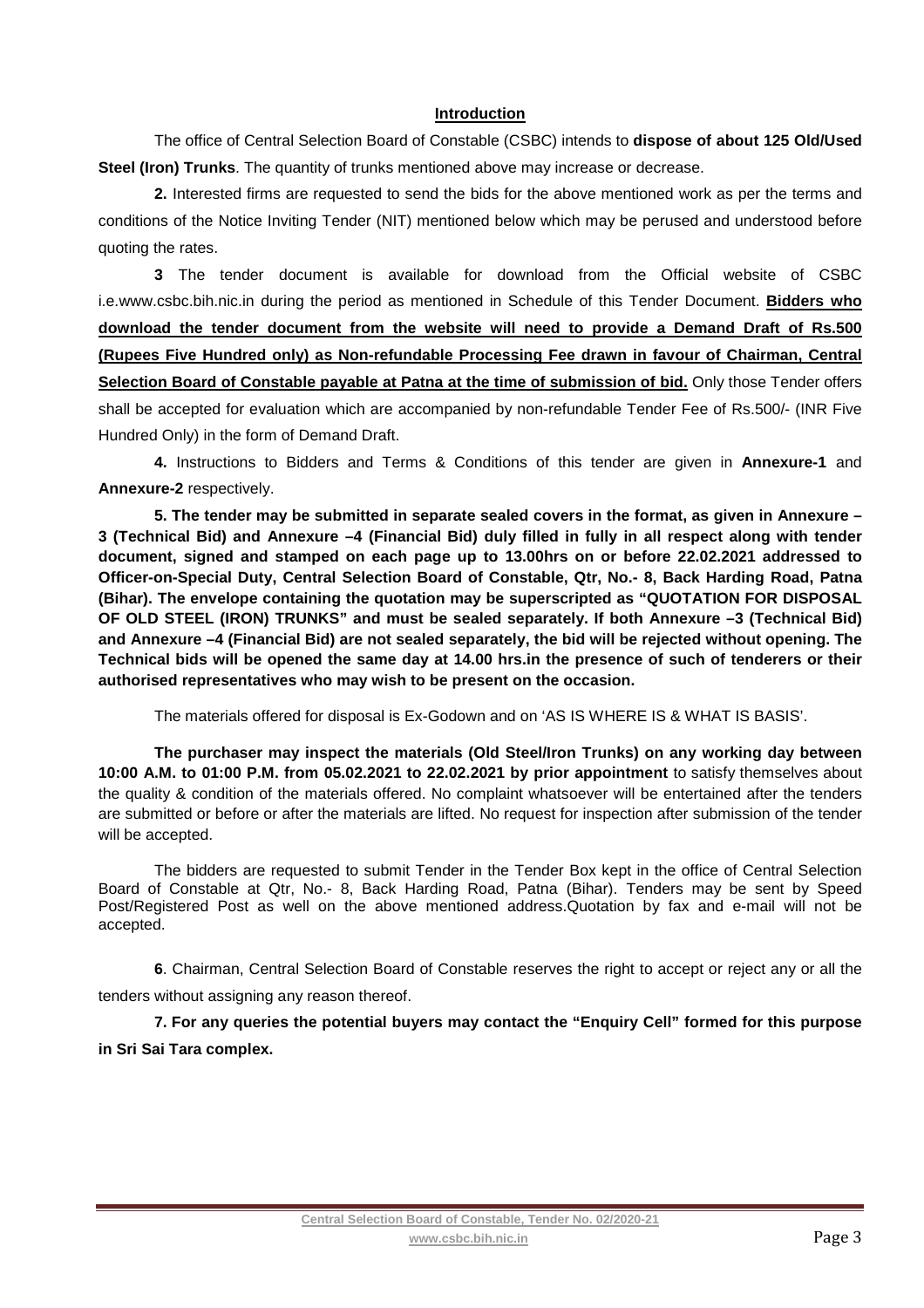#### **Introduction**

The office of Central Selection Board of Constable (CSBC) intends to **dispose of about 125 Old/Used Steel (Iron) Trunks**. The quantity of trunks mentioned above may increase or decrease.

**2.** Interested firms are requested to send the bids for the above mentioned work as per the terms and conditions of the Notice Inviting Tender (NIT) mentioned below which may be perused and understood before quoting the rates.

**3** The tender document is available for download from the Official website of CSBC i.e.www.csbc.bih.nic.in during the period as mentioned in Schedule of this Tender Document. **Bidders who download the tender document from the website will need to provide a Demand Draft of Rs.500 (Rupees Five Hundred only) as Non-refundable Processing Fee drawn in favour of Chairman, Central**  Selection Board of Constable payable at Patna at the time of submission of bid. Only those Tender offers shall be accepted for evaluation which are accompanied by non-refundable Tender Fee of Rs.500/- (INR Five Hundred Only) in the form of Demand Draft.

**4.** Instructions to Bidders and Terms & Conditions of this tender are given in **Annexure-1** and **Annexure-2** respectively.

**5. The tender may be submitted in separate sealed covers in the format, as given in Annexure – 3 (Technical Bid) and Annexure –4 (Financial Bid) duly filled in fully in all respect along with tender document, signed and stamped on each page up to 13.00hrs on or before 22.02.2021 addressed to Officer-on-Special Duty, Central Selection Board of Constable, Qtr, No.- 8, Back Harding Road, Patna (Bihar). The envelope containing the quotation may be superscripted as "QUOTATION FOR DISPOSAL OF OLD STEEL (IRON) TRUNKS" and must be sealed separately. If both Annexure –3 (Technical Bid) and Annexure –4 (Financial Bid) are not sealed separately, the bid will be rejected without opening. The Technical bids will be opened the same day at 14.00 hrs.in the presence of such of tenderers or their authorised representatives who may wish to be present on the occasion.** 

The materials offered for disposal is Ex-Godown and on 'AS IS WHERE IS & WHAT IS BASIS'.

**The purchaser may inspect the materials (Old Steel/Iron Trunks) on any working day between 10:00 A.M. to 01:00 P.M. from 05.02.2021 to 22.02.2021 by prior appointment** to satisfy themselves about the quality & condition of the materials offered. No complaint whatsoever will be entertained after the tenders are submitted or before or after the materials are lifted. No request for inspection after submission of the tender will be accepted.

The bidders are requested to submit Tender in the Tender Box kept in the office of Central Selection Board of Constable at Qtr, No.- 8, Back Harding Road, Patna (Bihar). Tenders may be sent by Speed Post/Registered Post as well on the above mentioned address.Quotation by fax and e-mail will not be accepted.

**6**. Chairman, Central Selection Board of Constable reserves the right to accept or reject any or all the tenders without assigning any reason thereof.

**7. For any queries the potential buyers may contact the "Enquiry Cell" formed for this purpose in Sri Sai Tara complex.**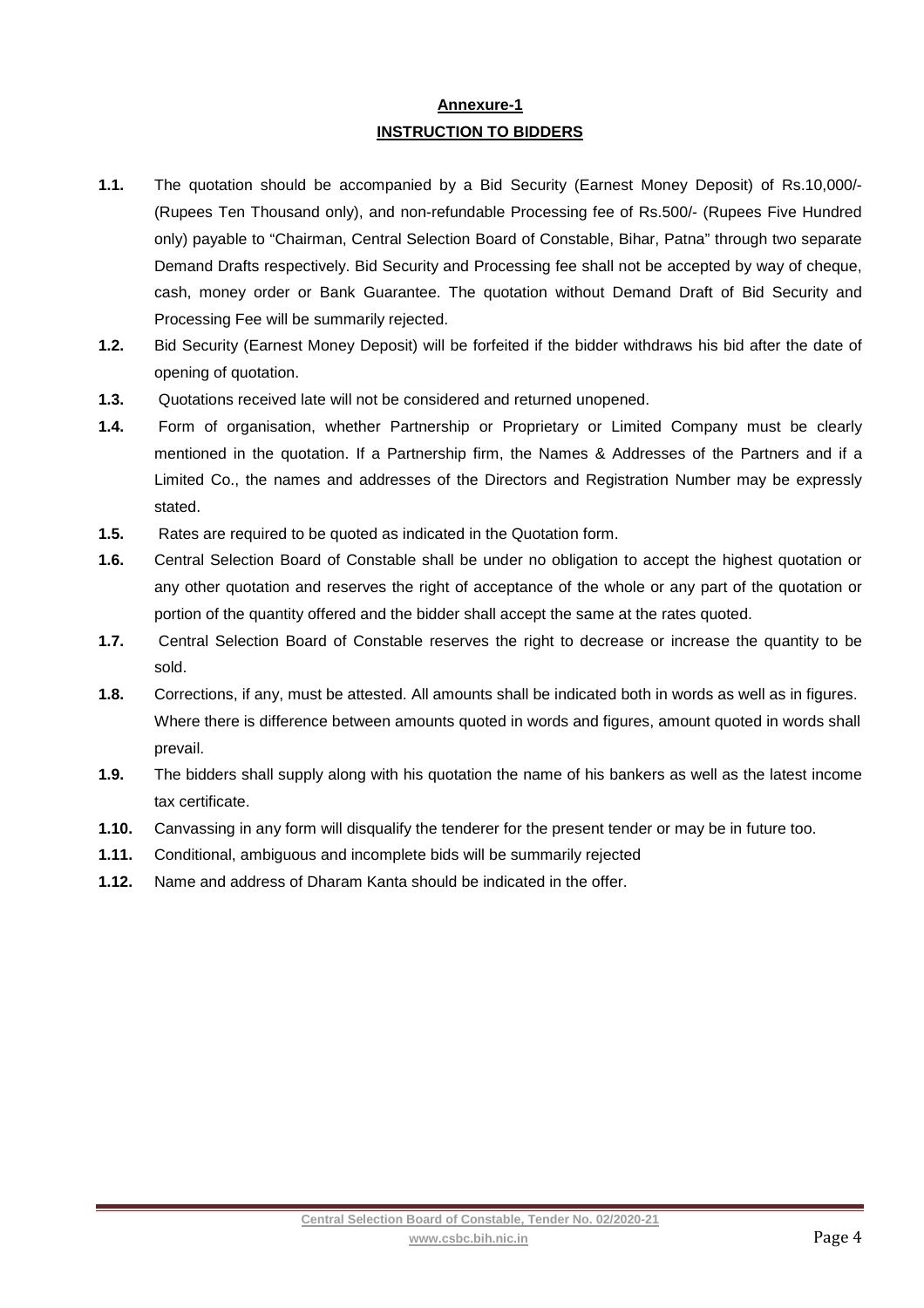# **Annexure-1 INSTRUCTION TO BIDDERS**

- **1.1.** The quotation should be accompanied by a Bid Security (Earnest Money Deposit) of Rs.10,000/- (Rupees Ten Thousand only), and non-refundable Processing fee of Rs.500/- (Rupees Five Hundred only) payable to "Chairman, Central Selection Board of Constable, Bihar, Patna" through two separate Demand Drafts respectively. Bid Security and Processing fee shall not be accepted by way of cheque, cash, money order or Bank Guarantee. The quotation without Demand Draft of Bid Security and Processing Fee will be summarily rejected.
- **1.2.** Bid Security (Earnest Money Deposit) will be forfeited if the bidder withdraws his bid after the date of opening of quotation.
- **1.3.** Quotations received late will not be considered and returned unopened.
- **1.4.** Form of organisation, whether Partnership or Proprietary or Limited Company must be clearly mentioned in the quotation. If a Partnership firm, the Names & Addresses of the Partners and if a Limited Co., the names and addresses of the Directors and Registration Number may be expressly stated.
- **1.5.** Rates are required to be quoted as indicated in the Quotation form.
- **1.6.** Central Selection Board of Constable shall be under no obligation to accept the highest quotation or any other quotation and reserves the right of acceptance of the whole or any part of the quotation or portion of the quantity offered and the bidder shall accept the same at the rates quoted.
- **1.7.** Central Selection Board of Constable reserves the right to decrease or increase the quantity to be sold.
- **1.8.** Corrections, if any, must be attested. All amounts shall be indicated both in words as well as in figures. Where there is difference between amounts quoted in words and figures, amount quoted in words shall prevail.
- **1.9.** The bidders shall supply along with his quotation the name of his bankers as well as the latest income tax certificate.
- **1.10.** Canvassing in any form will disqualify the tenderer for the present tender or may be in future too.
- **1.11.** Conditional, ambiguous and incomplete bids will be summarily rejected
- **1.12.** Name and address of Dharam Kanta should be indicated in the offer.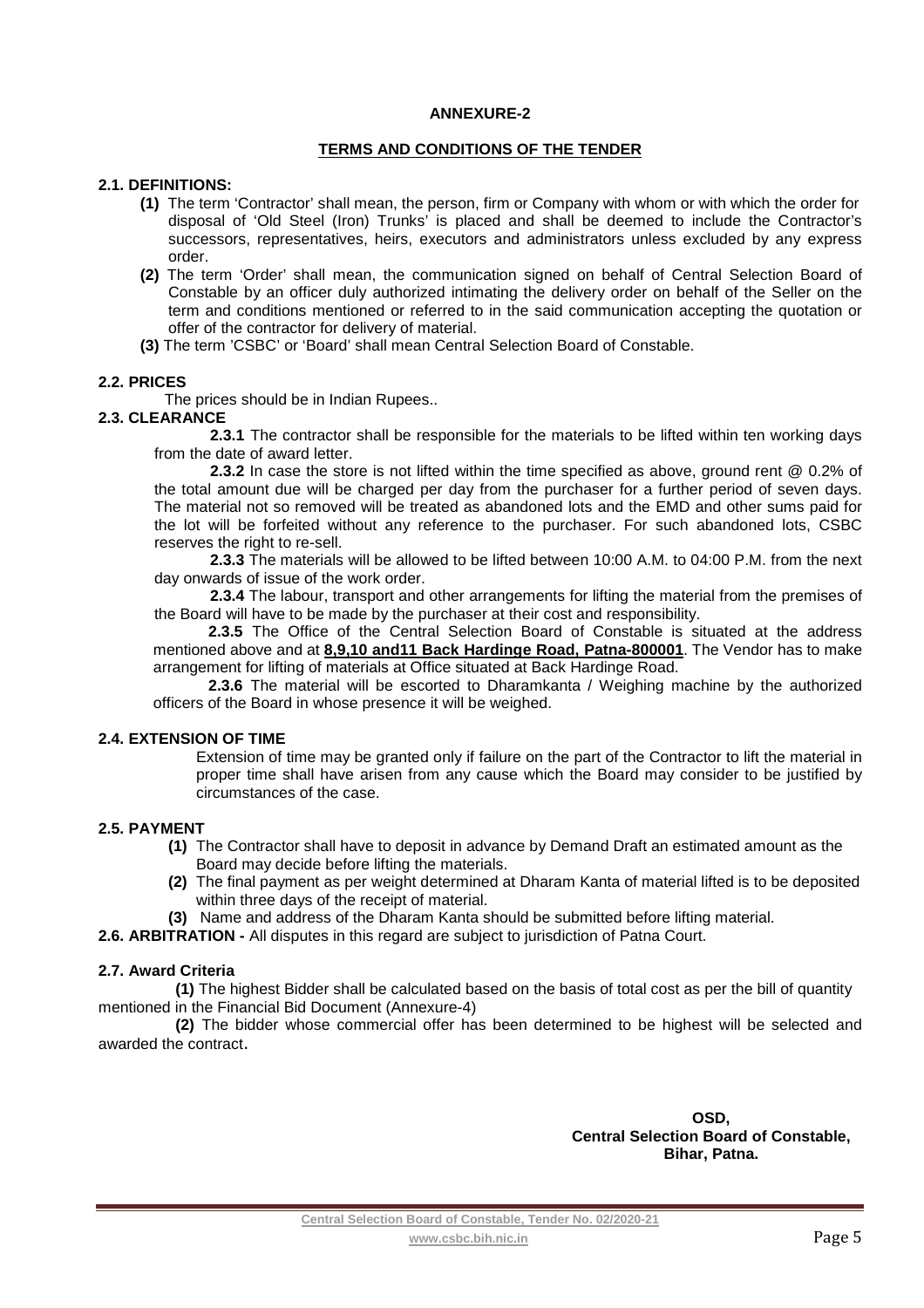#### **ANNEXURE-2**

#### **TERMS AND CONDITIONS OF THE TENDER**

#### **2.1. DEFINITIONS:**

- **(1)** The term 'Contractor' shall mean, the person, firm or Company with whom or with which the order for disposal of 'Old Steel (Iron) Trunks' is placed and shall be deemed to include the Contractor's successors, representatives, heirs, executors and administrators unless excluded by any express order.
- **(2)** The term 'Order' shall mean, the communication signed on behalf of Central Selection Board of Constable by an officer duly authorized intimating the delivery order on behalf of the Seller on the term and conditions mentioned or referred to in the said communication accepting the quotation or offer of the contractor for delivery of material.
- **(3)** The term 'CSBC' or 'Board' shall mean Central Selection Board of Constable.

#### **2.2. PRICES**

The prices should be in Indian Rupees..

## **2.3. CLEARANCE**

 **2.3.1** The contractor shall be responsible for the materials to be lifted within ten working days from the date of award letter.

 **2.3.2** In case the store is not lifted within the time specified as above, ground rent @ 0.2% of the total amount due will be charged per day from the purchaser for a further period of seven days. The material not so removed will be treated as abandoned lots and the EMD and other sums paid for the lot will be forfeited without any reference to the purchaser. For such abandoned lots, CSBC reserves the right to re-sell.

**2.3.3** The materials will be allowed to be lifted between 10:00 A.M. to 04:00 P.M. from the next day onwards of issue of the work order.

**2.3.4** The labour, transport and other arrangements for lifting the material from the premises of the Board will have to be made by the purchaser at their cost and responsibility.

**2.3.5** The Office of the Central Selection Board of Constable is situated at the address mentioned above and at **8,9,10 and11 Back Hardinge Road, Patna-800001**. The Vendor has to make arrangement for lifting of materials at Office situated at Back Hardinge Road.

**2.3.6** The material will be escorted to Dharamkanta / Weighing machine by the authorized officers of the Board in whose presence it will be weighed.

#### **2.4. EXTENSION OF TIME**

Extension of time may be granted only if failure on the part of the Contractor to lift the material in proper time shall have arisen from any cause which the Board may consider to be justified by circumstances of the case.

#### **2.5. PAYMENT**

- **(1)** The Contractor shall have to deposit in advance by Demand Draft an estimated amount as the Board may decide before lifting the materials.
- **(2)** The final payment as per weight determined at Dharam Kanta of material lifted is to be deposited within three days of the receipt of material.
- **(3)** Name and address of the Dharam Kanta should be submitted before lifting material.
- **2.6. ARBITRATION** All disputes in this regard are subject to jurisdiction of Patna Court.

#### **2.7. Award Criteria**

**(1)** The highest Bidder shall be calculated based on the basis of total cost as per the bill of quantity mentioned in the Financial Bid Document (Annexure-4)

**(2)** The bidder whose commercial offer has been determined to be highest will be selected and awarded the contract.

> **OSD, Central Selection Board of Constable, Bihar, Patna.**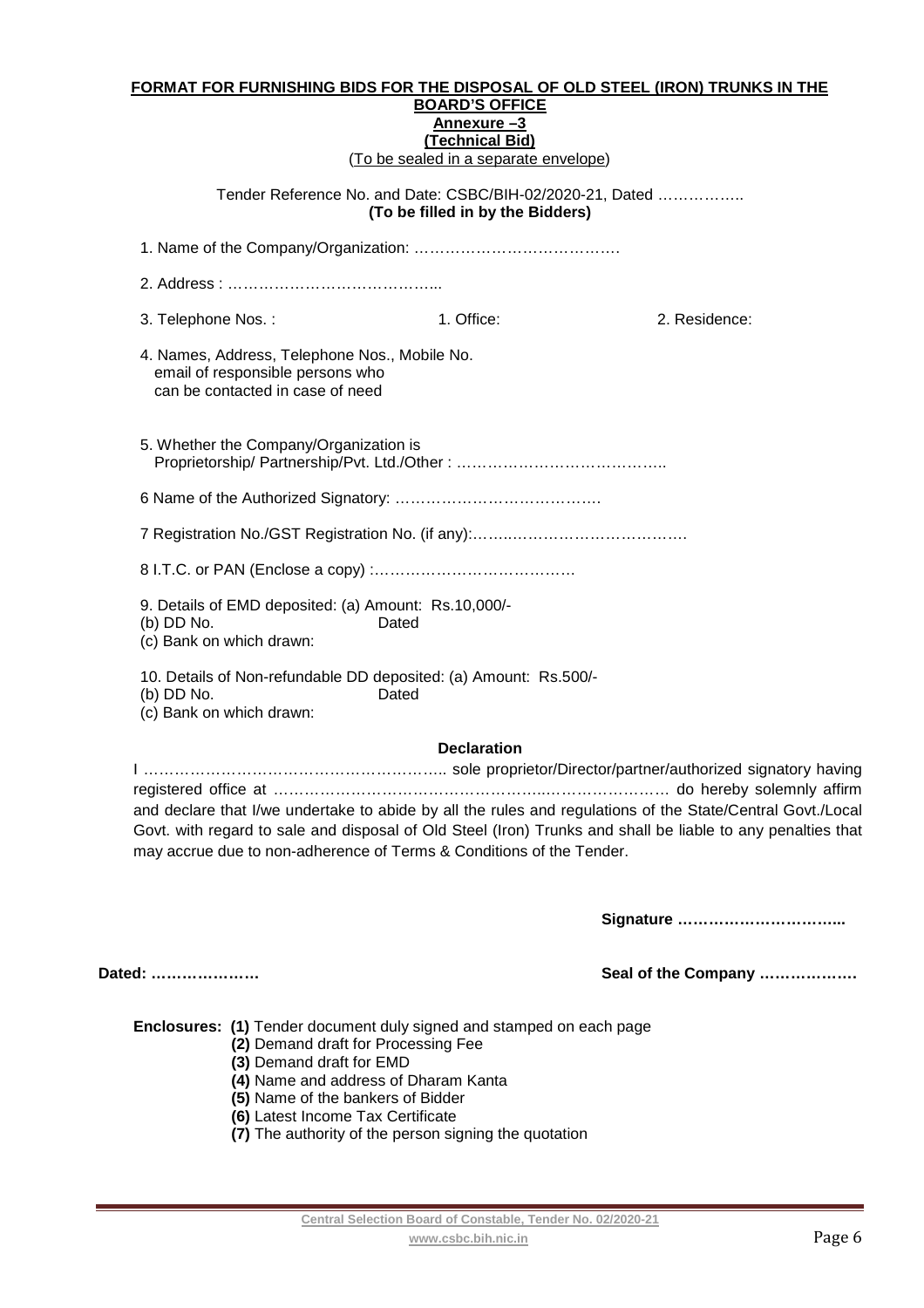#### **FORMAT FOR FURNISHING BIDS FOR THE DISPOSAL OF OLD STEEL (IRON) TRUNKS IN THE BOARD'S OFFICE Annexure –3 (Technical Bid)**

(To be sealed in a separate envelope)

#### Tender Reference No. and Date: CSBC/BIH-02/2020-21, Dated …………….. **(To be filled in by the Bidders)**

| 3. Telephone Nos.:                                                                                                    | 1. Office: | 2. Residence: |
|-----------------------------------------------------------------------------------------------------------------------|------------|---------------|
| 4. Names, Address, Telephone Nos., Mobile No.<br>email of responsible persons who<br>can be contacted in case of need |            |               |
| 5. Whether the Company/Organization is                                                                                |            |               |
|                                                                                                                       |            |               |
|                                                                                                                       |            |               |
|                                                                                                                       |            |               |
| 9. Details of EMD deposited: (a) Amount: Rs.10,000/-<br>(b) DD No.<br>Dated<br>(c) Bank on which drawn:               |            |               |
| 10. Details of Non-refundable DD deposited: (a) Amount: Rs.500/-<br>(b) DD No.<br>Dated<br>(c) Bank on which drawn:   |            |               |

#### **Declaration**

I ………………………………………………….. sole proprietor/Director/partner/authorized signatory having registered office at ……………………………………………..…………………… do hereby solemnly affirm and declare that I/we undertake to abide by all the rules and regulations of the State/Central Govt./Local Govt. with regard to sale and disposal of Old Steel (Iron) Trunks and shall be liable to any penalties that may accrue due to non-adherence of Terms & Conditions of the Tender.

**Signature …………………………...** 

**Dated: ………………… Seal of the Company ……………….** 

**Enclosures: (1)** Tender document duly signed and stamped on each page

- **(2)** Demand draft for Processing Fee
- **(3)** Demand draft for EMD
- **(4)** Name and address of Dharam Kanta
- **(5)** Name of the bankers of Bidder
- **(6)** Latest Income Tax Certificate
- **(7)** The authority of the person signing the quotation